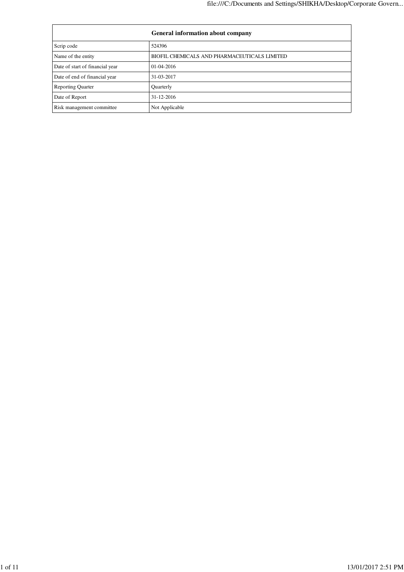|                                 | <b>General information about company</b>     |
|---------------------------------|----------------------------------------------|
| Scrip code                      | 524396                                       |
| Name of the entity              | BIOFIL CHEMICALS AND PHARMACEUTICALS LIMITED |
| Date of start of financial year | $01-04-2016$                                 |
| Date of end of financial year   | 31-03-2017                                   |
| <b>Reporting Quarter</b>        | Quarterly                                    |
| Date of Report                  | $31 - 12 - 2016$                             |
| Risk management committee       | Not Applicable                               |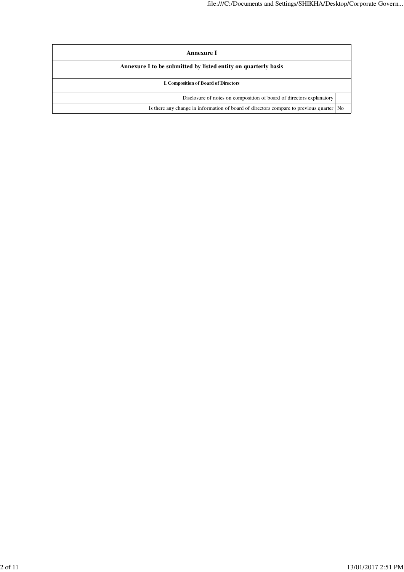| Annexure I                                                                                |  |  |
|-------------------------------------------------------------------------------------------|--|--|
| Annexure I to be submitted by listed entity on quarterly basis                            |  |  |
| <b>I. Composition of Board of Directors</b>                                               |  |  |
| Disclosure of notes on composition of board of directors explanatory                      |  |  |
| Is there any change in information of board of directors compare to previous quarter   No |  |  |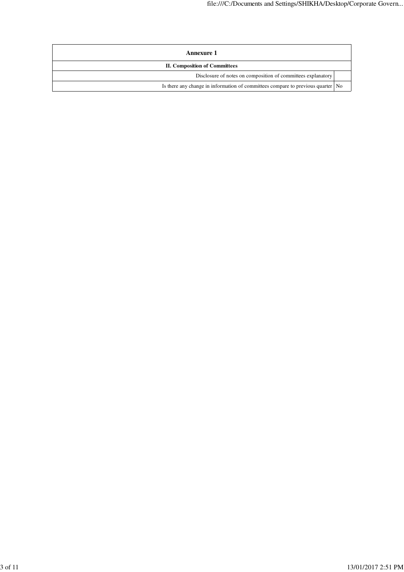| <b>Annexure 1</b>                                                                 |  |  |
|-----------------------------------------------------------------------------------|--|--|
| II. Composition of Committees                                                     |  |  |
| Disclosure of notes on composition of committees explanatory                      |  |  |
| Is there any change in information of committees compare to previous quarter   No |  |  |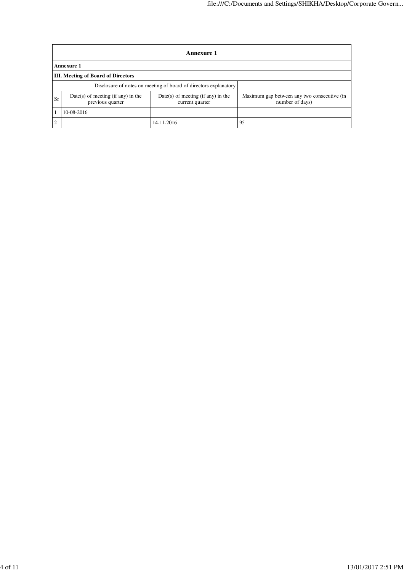|                | Annexure 1                                                                                                          |            |                                                                |  |  |
|----------------|---------------------------------------------------------------------------------------------------------------------|------------|----------------------------------------------------------------|--|--|
|                | Annexure 1                                                                                                          |            |                                                                |  |  |
|                | <b>III.</b> Meeting of Board of Directors                                                                           |            |                                                                |  |  |
|                | Disclosure of notes on meeting of board of directors explanatory                                                    |            |                                                                |  |  |
| Sr             | $Date(s)$ of meeting (if any) in the<br>$Date(s)$ of meeting (if any) in the<br>previous quarter<br>current quarter |            | Maximum gap between any two consecutive (in<br>number of days) |  |  |
|                | 10-08-2016                                                                                                          |            |                                                                |  |  |
| $\overline{2}$ |                                                                                                                     | 14-11-2016 | 95                                                             |  |  |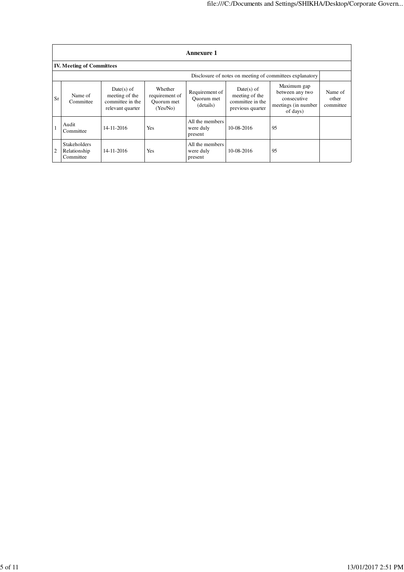|                | <b>Annexure 1</b>                                        |                                                                        |                                                     |                                           |                                                                        |                                                                                   |                               |
|----------------|----------------------------------------------------------|------------------------------------------------------------------------|-----------------------------------------------------|-------------------------------------------|------------------------------------------------------------------------|-----------------------------------------------------------------------------------|-------------------------------|
|                | <b>IV. Meeting of Committees</b>                         |                                                                        |                                                     |                                           |                                                                        |                                                                                   |                               |
|                | Disclosure of notes on meeting of committees explanatory |                                                                        |                                                     |                                           |                                                                        |                                                                                   |                               |
| Sr             | Name of<br>Committee                                     | $Date(s)$ of<br>meeting of the<br>committee in the<br>relevant quarter | Whether<br>requirement of<br>Quorum met<br>(Yes/No) | Requirement of<br>Ouorum met<br>(details) | $Date(s)$ of<br>meeting of the<br>committee in the<br>previous quarter | Maximum gap<br>between any two<br>consecutive<br>meetings (in number)<br>of days) | Name of<br>other<br>committee |
|                | Audit<br>Committee                                       | 14-11-2016                                                             | Yes                                                 | All the members<br>were duly<br>present   | 10-08-2016                                                             | 95                                                                                |                               |
| $\overline{2}$ | <b>Stakeholders</b><br>Relationship<br>Committee         | $14 - 11 - 2016$                                                       | Yes                                                 | All the members<br>were duly<br>present   | 10-08-2016                                                             | 95                                                                                |                               |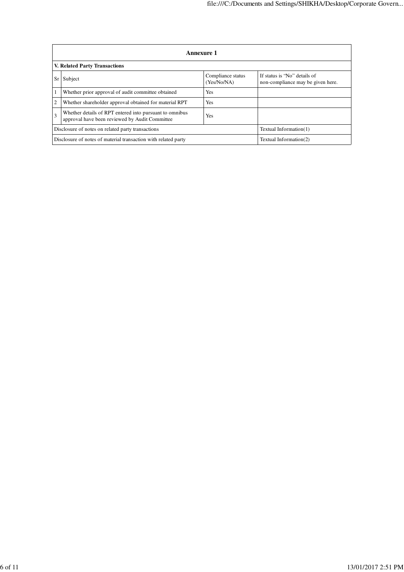|                | Annexure 1                                                                                                       |                                  |                                                                   |  |  |
|----------------|------------------------------------------------------------------------------------------------------------------|----------------------------------|-------------------------------------------------------------------|--|--|
|                | <b>V. Related Party Transactions</b>                                                                             |                                  |                                                                   |  |  |
|                | Subject                                                                                                          | Compliance status<br>(Yes/No/NA) | If status is "No" details of<br>non-compliance may be given here. |  |  |
|                | Whether prior approval of audit committee obtained                                                               | Yes                              |                                                                   |  |  |
| $\overline{c}$ | Whether shareholder approval obtained for material RPT<br>Yes                                                    |                                  |                                                                   |  |  |
| 3              | Whether details of RPT entered into pursuant to omnibus<br>Yes<br>approval have been reviewed by Audit Committee |                                  |                                                                   |  |  |
|                | Disclosure of notes on related party transactions                                                                | Textual Information(1)           |                                                                   |  |  |
|                | Disclosure of notes of material transaction with related party<br>Textual Information(2)                         |                                  |                                                                   |  |  |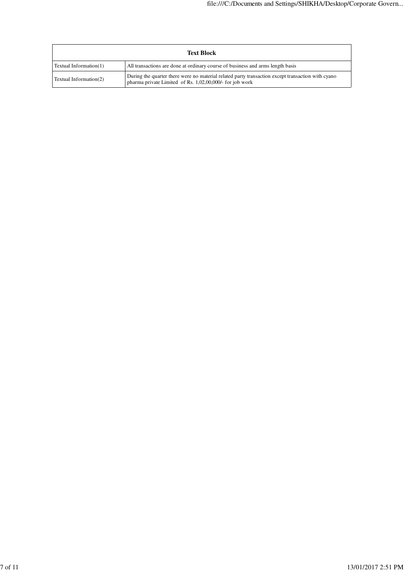| <b>Text Block</b>      |                                                                                                                                                               |  |
|------------------------|---------------------------------------------------------------------------------------------------------------------------------------------------------------|--|
| Textual Information(1) | All transactions are done at ordinary course of business and arms length basis                                                                                |  |
| Textual Information(2) | During the quarter there were no material related party transaction except transaction with cyano<br>pharma private Limited of Rs. 1,02,00,000/- for job work |  |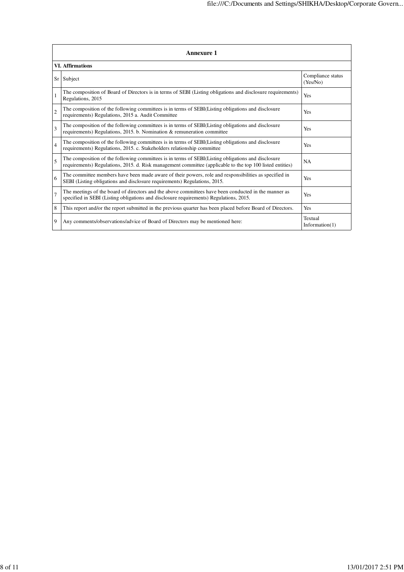|                | <b>Annexure 1</b>                                                                                                                                                                                               |                               |  |  |  |
|----------------|-----------------------------------------------------------------------------------------------------------------------------------------------------------------------------------------------------------------|-------------------------------|--|--|--|
|                | <b>VI.</b> Affirmations                                                                                                                                                                                         |                               |  |  |  |
| Sr             | Subject                                                                                                                                                                                                         | Compliance status<br>(Yes/No) |  |  |  |
| $\mathbf{1}$   | The composition of Board of Directors is in terms of SEBI (Listing obligations and disclosure requirements)<br>Regulations, 2015                                                                                | Yes                           |  |  |  |
| $\overline{c}$ | The composition of the following committees is in terms of SEBI(Listing obligations and disclosure<br>requirements) Regulations, 2015 a. Audit Committee                                                        | Yes                           |  |  |  |
| 3              | The composition of the following committees is in terms of SEBI(Listing obligations and disclosure<br>requirements) Regulations, 2015. b. Nomination & remuneration committee                                   | Yes                           |  |  |  |
| $\overline{4}$ | The composition of the following committees is in terms of SEBI(Listing obligations and disclosure<br>requirements) Regulations, 2015. c. Stakeholders relationship committee                                   | Yes                           |  |  |  |
| 5              | The composition of the following committees is in terms of SEBI(Listing obligations and disclosure<br>requirements) Regulations, 2015. d. Risk management committee (applicable to the top 100 listed entities) | <b>NA</b>                     |  |  |  |
| 6              | The committee members have been made aware of their powers, role and responsibilities as specified in<br>SEBI (Listing obligations and disclosure requirements) Regulations, 2015.                              | Yes                           |  |  |  |
| $\overline{7}$ | The meetings of the board of directors and the above committees have been conducted in the manner as<br>specified in SEBI (Listing obligations and disclosure requirements) Regulations, 2015.                  | Yes                           |  |  |  |
| 8              | This report and/or the report submitted in the previous quarter has been placed before Board of Directors.                                                                                                      | Yes                           |  |  |  |
| 9              | Any comments/observations/advice of Board of Directors may be mentioned here:                                                                                                                                   | Textual<br>Information(1)     |  |  |  |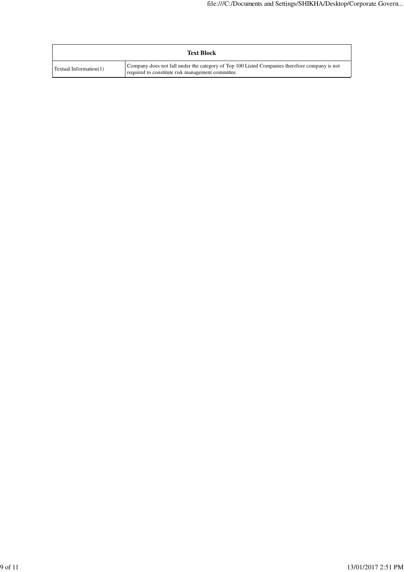|                        | <b>Text Block</b>                                                                                                                                  |
|------------------------|----------------------------------------------------------------------------------------------------------------------------------------------------|
| Textual Information(1) | Company does not fall under the category of Top 100 Listed Companies therefore company is not<br>required to constitute risk management committee. |